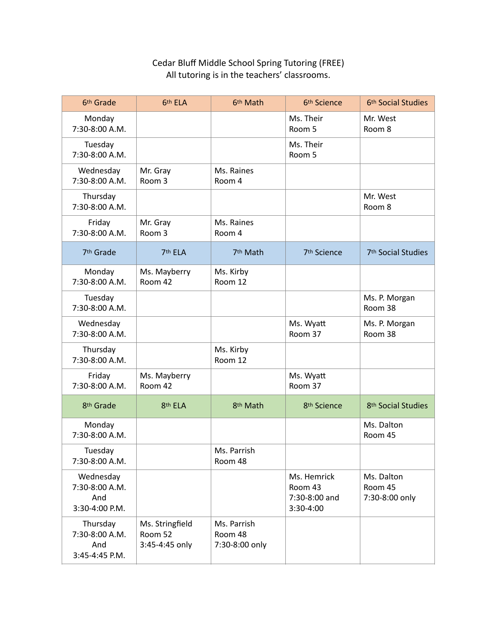## Cedar Bluff Middle School Spring Tutoring (FREE) All tutoring is in the teachers' classrooms.

| 6 <sup>th</sup> Grade                                | 6th ELA                                      | 6th Math                                 | 6 <sup>th</sup> Science                              | 6 <sup>th</sup> Social Studies          |
|------------------------------------------------------|----------------------------------------------|------------------------------------------|------------------------------------------------------|-----------------------------------------|
| Monday<br>7:30-8:00 A.M.                             |                                              |                                          | Ms. Their<br>Room 5                                  | Mr. West<br>Room 8                      |
| Tuesday<br>7:30-8:00 A.M.                            |                                              |                                          | Ms. Their<br>Room 5                                  |                                         |
| Wednesday<br>7:30-8:00 A.M.                          | Mr. Gray<br>Room 3                           | Ms. Raines<br>Room 4                     |                                                      |                                         |
| Thursday<br>7:30-8:00 A.M.                           |                                              |                                          |                                                      | Mr. West<br>Room 8                      |
| Friday<br>7:30-8:00 A.M.                             | Mr. Gray<br>Room 3                           | Ms. Raines<br>Room 4                     |                                                      |                                         |
| 7 <sup>th</sup> Grade                                | 7th ELA                                      | 7 <sup>th</sup> Math                     | 7 <sup>th</sup> Science                              | 7 <sup>th</sup> Social Studies          |
| Monday<br>7:30-8:00 A.M.                             | Ms. Mayberry<br>Room 42                      | Ms. Kirby<br>Room 12                     |                                                      |                                         |
| Tuesday<br>7:30-8:00 A.M.                            |                                              |                                          |                                                      | Ms. P. Morgan<br>Room 38                |
| Wednesday<br>7:30-8:00 A.M.                          |                                              |                                          | Ms. Wyatt<br>Room 37                                 | Ms. P. Morgan<br>Room 38                |
| Thursday<br>7:30-8:00 A.M.                           |                                              | Ms. Kirby<br>Room 12                     |                                                      |                                         |
| Friday<br>7:30-8:00 A.M.                             | Ms. Mayberry<br>Room 42                      |                                          | Ms. Wyatt<br>Room 37                                 |                                         |
| 8 <sup>th</sup> Grade                                | 8th ELA                                      | 8 <sup>th</sup> Math                     | 8 <sup>th</sup> Science                              | 8 <sup>th</sup> Social Studies          |
| Monday<br>7:30-8:00 A.M.                             |                                              |                                          |                                                      | Ms. Dalton<br>Room 45                   |
| Tuesday<br>7:30-8:00 A.M.                            |                                              | Ms. Parrish<br>Room 48                   |                                                      |                                         |
| Wednesday<br>7:30-8:00 A.M.<br>And<br>3:30-4:00 P.M. |                                              |                                          | Ms. Hemrick<br>Room 43<br>7:30-8:00 and<br>3:30-4:00 | Ms. Dalton<br>Room 45<br>7:30-8:00 only |
| Thursday<br>7:30-8:00 A.M.<br>And<br>3:45-4:45 P.M.  | Ms. Stringfield<br>Room 52<br>3:45-4:45 only | Ms. Parrish<br>Room 48<br>7:30-8:00 only |                                                      |                                         |